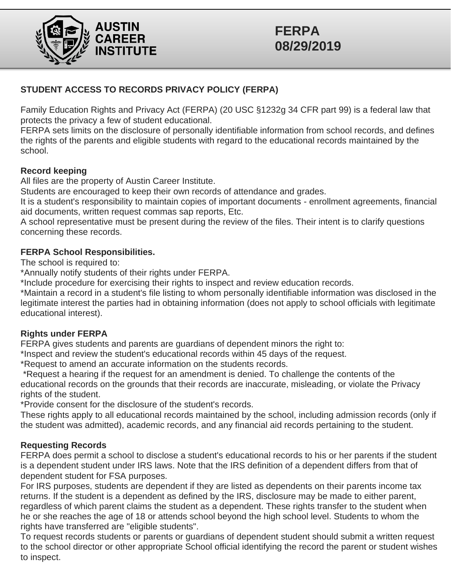

# **FERPA 08/29/2019**

## **STUDENT ACCESS TO RECORDS PRIVACY POLICY (FERPA)**

Family Education Rights and Privacy Act (FERPA) (20 USC §1232g 34 CFR part 99) is a federal law that protects the privacy a few of student educational.

FERPA sets limits on the disclosure of personally identifiable information from school records, and defines the rights of the parents and eligible students with regard to the educational records maintained by the school.

### **Record keeping**

All files are the property of Austin Career Institute.

Students are encouraged to keep their own records of attendance and grades.

It is a student's responsibility to maintain copies of important documents - enrollment agreements, financial aid documents, written request commas sap reports, Etc.

A school representative must be present during the review of the files. Their intent is to clarify questions concerning these records.

## **FERPA School Responsibilities.**

The school is required to:

\*Annually notify students of their rights under FERPA.

\*Include procedure for exercising their rights to inspect and review education records.

\*Maintain a record in a student's file listing to whom personally identifiable information was disclosed in the legitimate interest the parties had in obtaining information (does not apply to school officials with legitimate educational interest).

### **Rights under FERPA**

FERPA gives students and parents are guardians of dependent minors the right to:

\*Inspect and review the student's educational records within 45 days of the request.

\*Request to amend an accurate information on the students records.

\*Request a hearing if the request for an amendment is denied. To challenge the contents of the educational records on the grounds that their records are inaccurate, misleading, or violate the Privacy rights of the student.

\*Provide consent for the disclosure of the student's records.

These rights apply to all educational records maintained by the school, including admission records (only if the student was admitted), academic records, and any financial aid records pertaining to the student.

### **Requesting Records**

FERPA does permit a school to disclose a student's educational records to his or her parents if the student is a dependent student under IRS laws. Note that the IRS definition of a dependent differs from that of dependent student for FSA purposes.

For IRS purposes, students are dependent if they are listed as dependents on their parents income tax returns. If the student is a dependent as defined by the IRS, disclosure may be made to either parent, regardless of which parent claims the student as a dependent. These rights transfer to the student when he or she reaches the age of 18 or attends school beyond the high school level. Students to whom the rights have transferred are "eligible students".

To request records students or parents or guardians of dependent student should submit a written request to the school director or other appropriate School official identifying the record the parent or student wishes to inspect.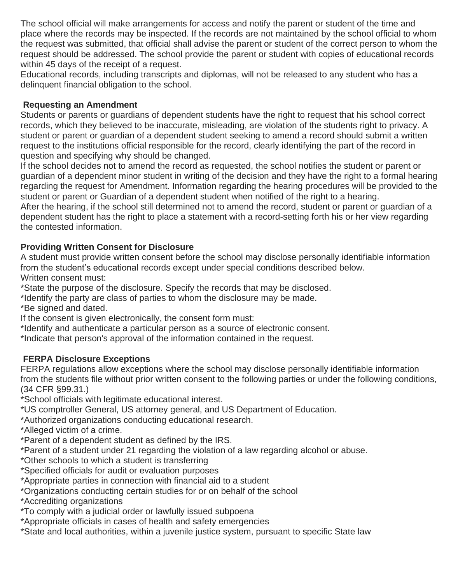The school official will make arrangements for access and notify the parent or student of the time and place where the records may be inspected. If the records are not maintained by the school official to whom the request was submitted, that official shall advise the parent or student of the correct person to whom the request should be addressed. The school provide the parent or student with copies of educational records within 45 days of the receipt of a request.

Educational records, including transcripts and diplomas, will not be released to any student who has a delinquent financial obligation to the school.

# **Requesting an Amendment**

Students or parents or guardians of dependent students have the right to request that his school correct records, which they believed to be inaccurate, misleading, are violation of the students right to privacy. A student or parent or guardian of a dependent student seeking to amend a record should submit a written request to the institutions official responsible for the record, clearly identifying the part of the record in question and specifying why should be changed.

If the school decides not to amend the record as requested, the school notifies the student or parent or guardian of a dependent minor student in writing of the decision and they have the right to a formal hearing regarding the request for Amendment. Information regarding the hearing procedures will be provided to the student or parent or Guardian of a dependent student when notified of the right to a hearing.

After the hearing, if the school still determined not to amend the record, student or parent or guardian of a dependent student has the right to place a statement with a record-setting forth his or her view regarding the contested information.

# **Providing Written Consent for Disclosure**

A student must provide written consent before the school may disclose personally identifiable information from the student's educational records except under special conditions described below. Written consent must:

\*State the purpose of the disclosure. Specify the records that may be disclosed.

- \*Identify the party are class of parties to whom the disclosure may be made.
- \*Be signed and dated.

If the consent is given electronically, the consent form must:

\*Identify and authenticate a particular person as a source of electronic consent.

\*Indicate that person's approval of the information contained in the request.

# **FERPA Disclosure Exceptions**

FERPA regulations allow exceptions where the school may disclose personally identifiable information from the students file without prior written consent to the following parties or under the following conditions, (34 CFR §99.31.)

\*School officials with legitimate educational interest.

\*US comptroller General, US attorney general, and US Department of Education.

\*Authorized organizations conducting educational research.

- \*Alleged victim of a crime.
- \*Parent of a dependent student as defined by the IRS.

\*Parent of a student under 21 regarding the violation of a law regarding alcohol or abuse.

- \*Other schools to which a student is transferring
- \*Specified officials for audit or evaluation purposes
- \*Appropriate parties in connection with financial aid to a student
- \*Organizations conducting certain studies for or on behalf of the school
- \*Accrediting organizations
- \*To comply with a judicial order or lawfully issued subpoena
- \*Appropriate officials in cases of health and safety emergencies
- \*State and local authorities, within a juvenile justice system, pursuant to specific State law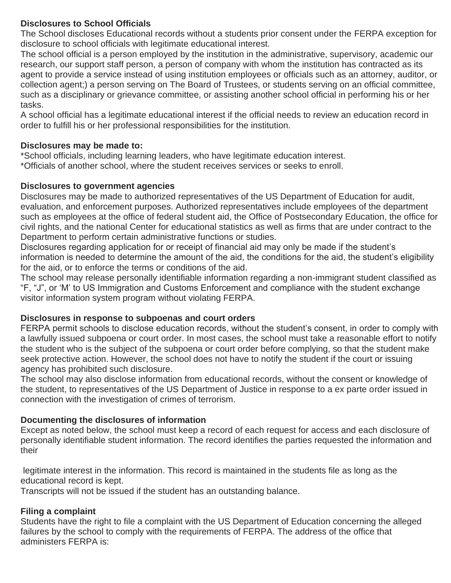## **Disclosures to School Officials**

The School discloses Educational records without a students prior consent under the FERPA exception for disclosure to school officials with legitimate educational interest.

The school official is a person employed by the institution in the administrative, supervisory, academic our research, our support staff person, a person of company with whom the institution has contracted as its agent to provide a service instead of using institution employees or officials such as an attorney, auditor, or collection agent;) a person serving on The Board of Trustees, or students serving on an official committee, such as a disciplinary or grievance committee, or assisting another school official in performing his or her tasks.

A school official has a legitimate educational interest if the official needs to review an education record in order to fulfill his or her professional responsibilities for the institution.

## **Disclosures may be made to:**

\*School officials, including learning leaders, who have legitimate education interest. \*Officials of another school, where the student receives services or seeks to enroll.

## **Disclosures to government agencies**

Disclosures may be made to authorized representatives of the US Department of Education for audit, evaluation, and enforcement purposes. Authorized representatives include employees of the department such as employees at the office of federal student aid, the Office of Postsecondary Education, the office for civil rights, and the national Center for educational statistics as well as firms that are under contract to the Department to perform certain administrative functions or studies.

Disclosures regarding application for or receipt of financial aid may only be made if the student's information is needed to determine the amount of the aid, the conditions for the aid, the student's eligibility for the aid, or to enforce the terms or conditions of the aid.

The school may release personally identifiable information regarding a non-immigrant student classified as "F, "J", or 'M' to US Immigration and Customs Enforcement and compliance with the student exchange visitor information system program without violating FERPA.

### **Disclosures in response to subpoenas and court orders**

FERPA permit schools to disclose education records, without the student's consent, in order to comply with a lawfully issued subpoena or court order. In most cases, the school must take a reasonable effort to notify the student who is the subject of the subpoena or court order before complying, so that the student make seek protective action. However, the school does not have to notify the student if the court or issuing agency has prohibited such disclosure.

The school may also disclose information from educational records, without the consent or knowledge of the student, to representatives of the US Department of Justice in response to a ex parte order issued in connection with the investigation of crimes of terrorism.

## **Documenting the disclosures of information**

Except as noted below, the school must keep a record of each request for access and each disclosure of personally identifiable student information. The record identifies the parties requested the information and their

legitimate interest in the information. This record is maintained in the students file as long as the educational record is kept.

Transcripts will not be issued if the student has an outstanding balance.

## **Filing a complaint**

Students have the right to file a complaint with the US Department of Education concerning the alleged failures by the school to comply with the requirements of FERPA. The address of the office that administers FERPA is: